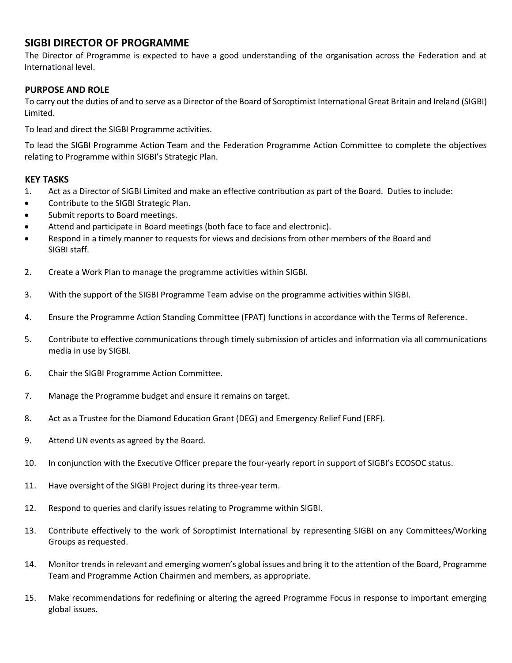## **SIGBI DIRECTOR OF PROGRAMME**

The Director of Programme is expected to have a good understanding of the organisation across the Federation and at International level.

## **PURPOSE AND ROLE**

To carry out the duties of and to serve as a Director of the Board of Soroptimist International Great Britain and Ireland (SIGBI) Limited.

To lead and direct the SIGBI Programme activities.

To lead the SIGBI Programme Action Team and the Federation Programme Action Committee to complete the objectives relating to Programme within SIGBI's Strategic Plan.

### **KEY TASKS**

- 1. Act as a Director of SIGBI Limited and make an effective contribution as part of the Board. Duties to include:
- Contribute to the SIGBI Strategic Plan.
- Submit reports to Board meetings.
- Attend and participate in Board meetings (both face to face and electronic).
- Respond in a timely manner to requests for views and decisions from other members of the Board and SIGBI staff.
- 2. Create a Work Plan to manage the programme activities within SIGBI.
- 3. With the support of the SIGBI Programme Team advise on the programme activities within SIGBI.
- 4. Ensure the Programme Action Standing Committee (FPAT) functions in accordance with the Terms of Reference.
- 5. Contribute to effective communications through timely submission of articles and information via all communications media in use by SIGBI.
- 6. Chair the SIGBI Programme Action Committee.
- 7. Manage the Programme budget and ensure it remains on target.
- 8. Act as a Trustee for the Diamond Education Grant (DEG) and Emergency Relief Fund (ERF).
- 9. Attend UN events as agreed by the Board.
- 10. In conjunction with the Executive Officer prepare the four-yearly report in support of SIGBI's ECOSOC status.
- 11. Have oversight of the SIGBI Project during its three-year term.
- 12. Respond to queries and clarify issues relating to Programme within SIGBI.
- 13. Contribute effectively to the work of Soroptimist International by representing SIGBI on any Committees/Working Groups as requested.
- 14. Monitor trends in relevant and emerging women's global issues and bring it to the attention of the Board, Programme Team and Programme Action Chairmen and members, as appropriate.
- 15. Make recommendations for redefining or altering the agreed Programme Focus in response to important emerging global issues.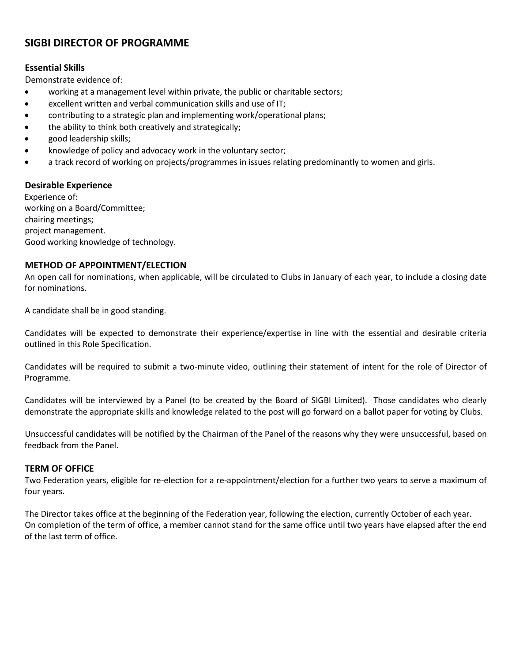# **SIGBI DIRECTOR OF PROGRAMME**

## **Essential Skills**

Demonstrate evidence of:

- working at a management level within private, the public or charitable sectors;
- excellent written and verbal communication skills and use of IT;
- contributing to a strategic plan and implementing work/operational plans;
- the ability to think both creatively and strategically;
- good leadership skills;
- knowledge of policy and advocacy work in the voluntary sector;
- a track record of working on projects/programmes in issues relating predominantly to women and girls.

### **Desirable Experience**

Experience of: working on a Board/Committee; chairing meetings; project management. Good working knowledge of technology.

## **METHOD OF APPOINTMENT/ELECTION**

An open call for nominations, when applicable, will be circulated to Clubs in January of each year, to include a closing date for nominations.

A candidate shall be in good standing.

Candidates will be expected to demonstrate their experience/expertise in line with the essential and desirable criteria outlined in this Role Specification.

Candidates will be required to submit a two-minute video, outlining their statement of intent for the role of Director of Programme.

Candidates will be interviewed by a Panel (to be created by the Board of SIGBI Limited). Those candidates who clearly demonstrate the appropriate skills and knowledge related to the post will go forward on a ballot paper for voting by Clubs.

Unsuccessful candidates will be notified by the Chairman of the Panel of the reasons why they were unsuccessful, based on feedback from the Panel.

#### **TERM OF OFFICE**

Two Federation years, eligible for re-election for a re-appointment/election for a further two years to serve a maximum of four years.

The Director takes office at the beginning of the Federation year, following the election, currently October of each year. On completion of the term of office, a member cannot stand for the same office until two years have elapsed after the end of the last term of office.